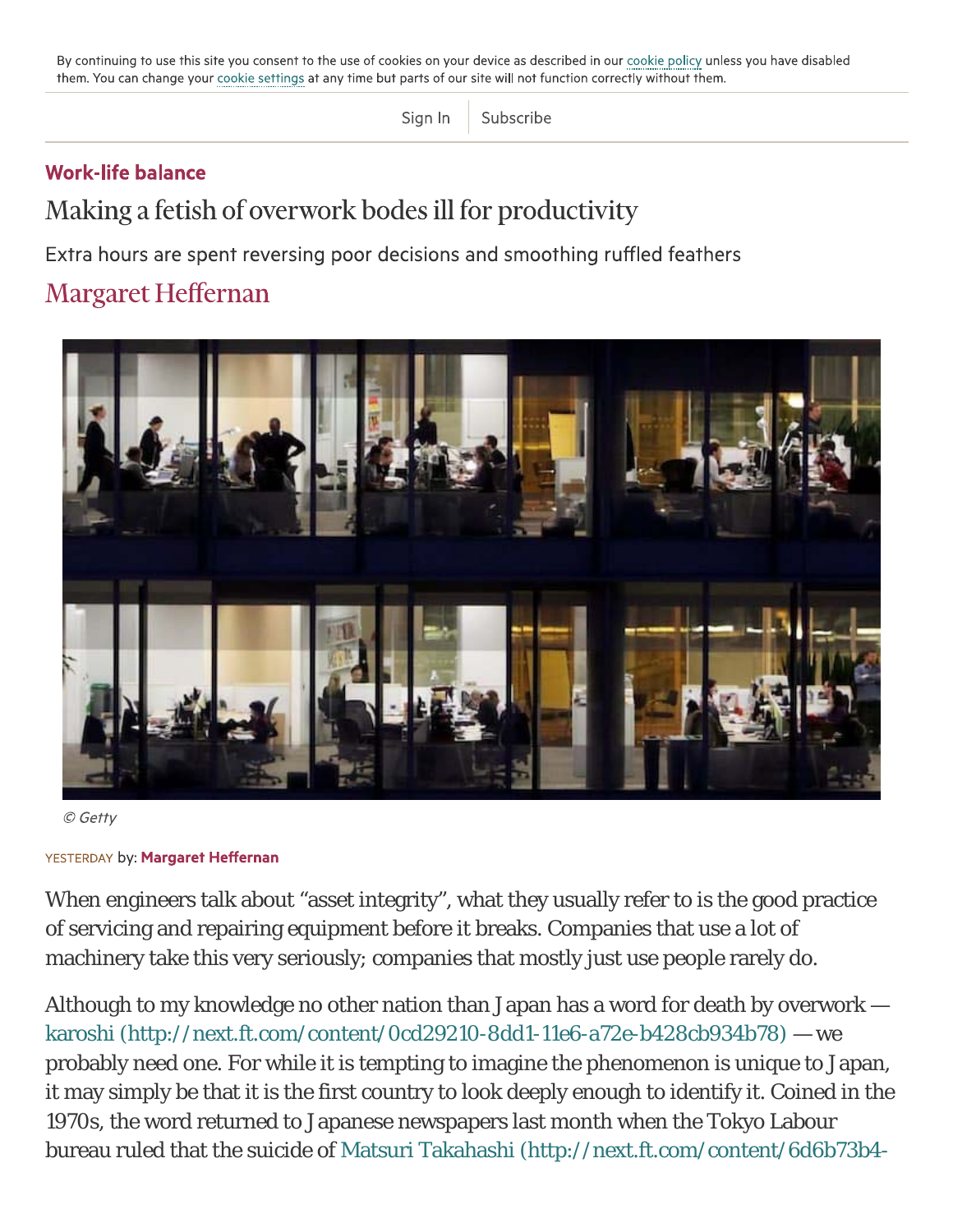By continuing to use this site you consent to the use of cookies on your device as described in our cookie policy unless you have disabled them. You can change your cookie settings at any time but parts of our site will not function correctly without them.

> Sign In Subscribe

#### **Work-life balance**

# Making a fetish of overwork bodes ill for productivity

Extra hours are spent reversing poor decisions and smoothing ruffled feathers

## **Margaret Heffernan**



© Getty

When engineers talk about "asset integrity", what they usually refer to is the good practice of servicing and repairing equipment before it breaks. Companies that use a lot of machinery take this very seriously; companies that mostly just use people rarely do.

Although to my knowledge no other nation than Japan has a word for death by overwork karoshi (http://next.ft.com/content/0cd29210-8dd1-11e6-a72e-b428cb934b78) — we probably need one. For while it is tempting to imagine the phenomenon is unique to Japan, it may simply be that it is the first country to look deeply enough to identify it. Coined in the 1970s, the word returned to Japanese newspapers last month when the Tokyo Labour bureau ruled that the suicide of Matsuri Takahashi (http://next.ft.com/content/6d6b73b4-

YESTERDAY by: Margaret Heffernan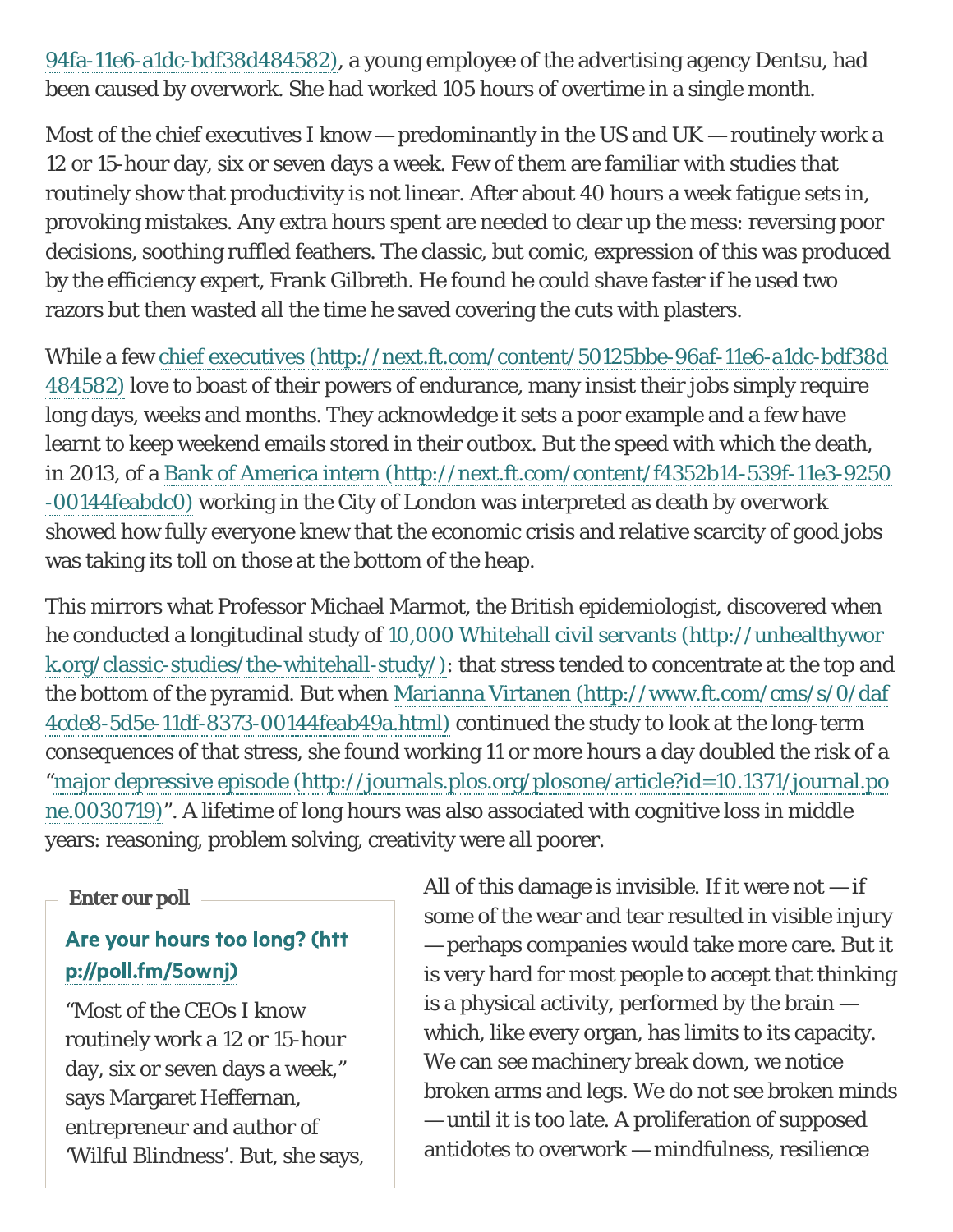94fa-11e6-a1dc-bdf38d484582), a young employee of the advertising agency Dentsu, had been caused by overwork. She had worked 105 hours of overtime in a single month.

Most of the chief executives I know — predominantly in the US and UK — routinely work a 12 or 15-hour day, six or seven days a week. Few of them are familiar with studies that routinely show that productivity is not linear. After about 40 hours a week fatigue sets in, provoking mistakes. Any extra hours spent are needed to clear up the mess: reversing poor decisions, soothing ruffled feathers. The classic, but comic, expression of this was produced by the efficiency expert, Frank Gilbreth. He found he could shave faster if he used two razors but then wasted all the time he saved covering the cuts with plasters.

While a few chief executives (http://next.ft.com/content/50125bbe-96af-11e6-a1dc-bdf38d 484582) love to boast of their powers of endurance, many insist their jobs simply require long days, weeks and months. They acknowledge it sets a poor example and a few have learnt to keep weekend emails stored in their outbox. But the speed with which the death, in 2013, of a Bank of America intern (http://next.ft.com/content/f4352b14-539f-11e3-9250 -00144feabdc0) working in the City of London was interpreted as death by overwork showed how fully everyone knew that the economic crisis and relative scarcity of good jobs was taking its toll on those at the bottom of the heap.

This mirrors what Professor Michael Marmot, the British epidemiologist, discovered when he conducted a longitudinal study of 10,000 Whitehall civil servants (http://unhealthywor k.org/classic-studies/the-whitehall-study/): that stress tended to concentrate at the top and the bottom of the pyramid. But when Marianna Virtanen (http://www.ft.com/cms/s/0/daf 4cde8-5d5e-11df-8373-00144feab49a.html) continued the study to look at the long-term consequences of that stress, she found working 11 or more hours a day doubled the risk of a "major depressive episode (http://journals.plos.org/plosone/article?id=10.1371/journal.po ne.0030719)". A lifetime of long hours was also associated with cognitive loss in middle years: reasoning, problem solving, creativity were all poorer.

#### Enter our poll

### Are your hours too long? (htt p://poll.fm/5ownj)

"Most of the CEOs I know routinely work a 12 or 15-hour day, six or seven days a week," says Margaret Heffernan, entrepreneur and author of 'Wilful Blindness'. But, she says,

All of this damage is invisible. If it were not  $-$  if some of the wear and tear resulted in visible injury — perhaps companies would take more care. But it is very hard for most people to accept that thinking is a physical activity, performed by the brain which, like every organ, has limits to its capacity. We can see machinery break down, we notice broken arms and legs. We do not see broken minds — until it is too late. A proliferation of supposed antidotes to overwork — mindfulness, resilience